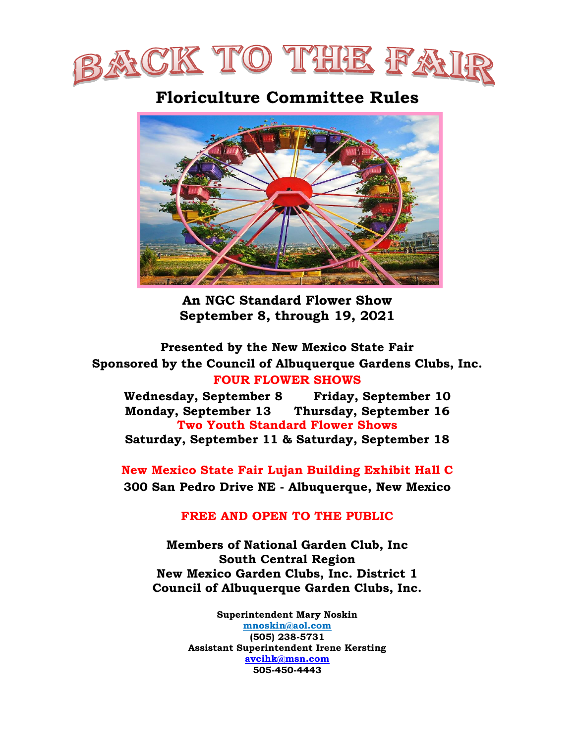

# **Floriculture Committee Rules**



**An NGC Standard Flower Show September 8, through 19, 2021**

**Presented by the New Mexico State Fair Sponsored by the Council of Albuquerque Gardens Clubs, Inc. FOUR FLOWER SHOWS**

**Wednesday, September 8 Friday, September 10 Monday, September 13 Thursday, September 16 Two Youth Standard Flower Shows Saturday, September 11 & Saturday, September 18**

**New Mexico State Fair Lujan Building Exhibit Hall C 300 San Pedro Drive NE - Albuquerque, New Mexico** 

## **FREE AND OPEN TO THE PUBLIC**

**Members of National Garden Club, Inc South Central Region New Mexico Garden Clubs, Inc. District 1 Council of Albuquerque Garden Clubs, Inc.**

> **Superintendent Mary Noskin [mnoskin@aol.com](mailto:mnoskin@aol.com) (505) 238-5731 Assistant Superintendent Irene Kersting [avcihk@msn.com](mailto:avcihk@msn.com) 505-450-4443**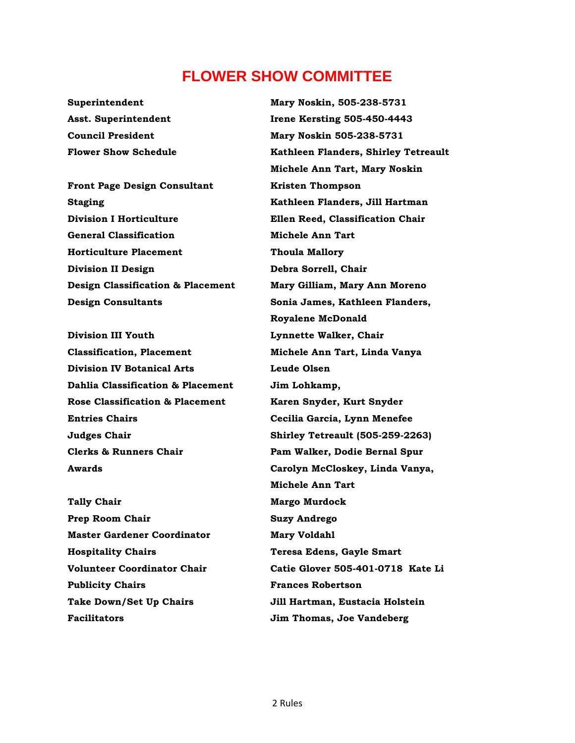## **FLOWER SHOW COMMITTEE**

**Front Page Design Consultant Kristen Thompson Staging Kathleen Flanders, Jill Hartman Division I Horticulture Ellen Reed, Classification Chair General Classification Michele Ann Tart Horticulture Placement Thoula Mallory Division II Design Debra Sorrell, Chair Design Classification & Placement Mary Gilliam, Mary Ann Moreno Design Consultants Sonia James, Kathleen Flanders,** 

**Classification, Placement Michele Ann Tart, Linda Vanya Division IV Botanical Arts Leude Olsen Dahlia Classification & Placement Jim Lohkamp, Rose Classification & Placement Karen Snyder, Kurt Snyder Entries Chairs Cecilia Garcia, Lynn Menefee Clerks & Runners Chair Pam Walker, Dodie Bernal Spur**

**Tally Chair Margo Murdock Prep Room Chair Suzy Andrego Master Gardener Coordinator Mary Voldahl Hospitality Chairs Teresa Edens, Gayle Smart Publicity Chairs Frances Robertson Facilitators Jim Thomas, Joe Vandeberg**

**Superintendent Mary Noskin, 505-238-5731 Asst. Superintendent Irene Kersting 505-450-4443 Council President Mary Noskin 505-238-5731 Flower Show Schedule Kathleen Flanders, Shirley Tetreault Michele Ann Tart, Mary Noskin Royalene McDonald Division III Youth Lynnette Walker, Chair Judges Chair Shirley Tetreault (505-259-2263) Awards Carolyn McCloskey, Linda Vanya, Michele Ann Tart Volunteer Coordinator Chair Catie Glover 505-401-0718 Kate Li Take Down/Set Up Chairs Jill Hartman, Eustacia Holstein**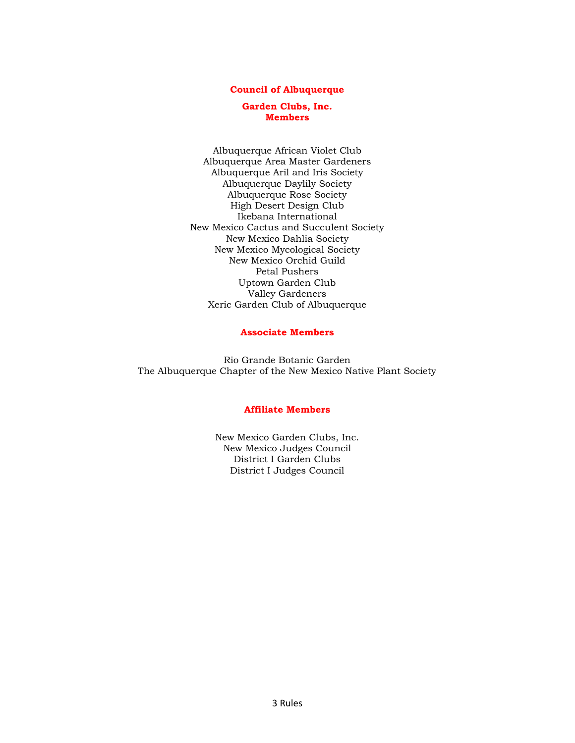#### **Council of Albuquerque**

#### **Garden Clubs, Inc. Members**

Albuquerque African Violet Club Albuquerque Area Master Gardeners Albuquerque Aril and Iris Society Albuquerque Daylily Society Albuquerque Rose Society High Desert Design Club Ikebana International New Mexico Cactus and Succulent Society New Mexico Dahlia Society New Mexico Mycological Society New Mexico Orchid Guild Petal Pushers Uptown Garden Club Valley Gardeners Xeric Garden Club of Albuquerque

#### **Associate Members**

Rio Grande Botanic Garden The Albuquerque Chapter of the New Mexico Native Plant Society

#### **Affiliate Members**

New Mexico Garden Clubs, Inc. New Mexico Judges Council District I Garden Clubs District I Judges Council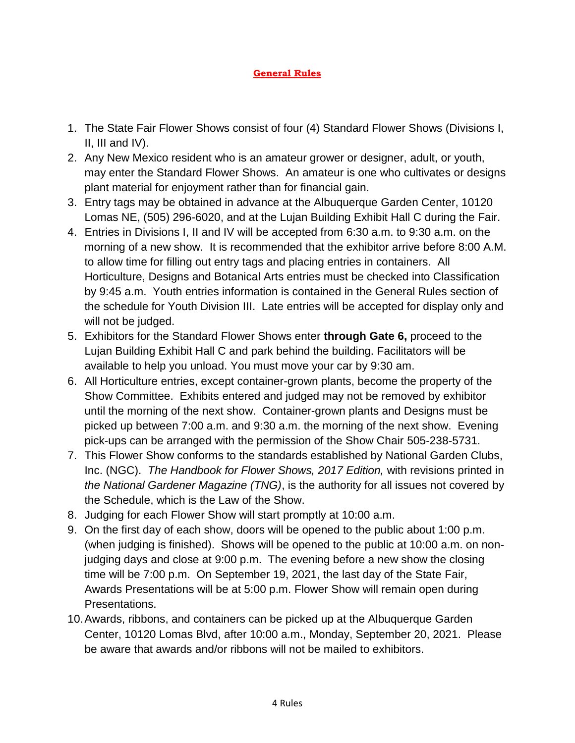### **General Rules**

- 1. The State Fair Flower Shows consist of four (4) Standard Flower Shows (Divisions I, II, III and  $IV$ ).
- 2. Any New Mexico resident who is an amateur grower or designer, adult, or youth, may enter the Standard Flower Shows. An amateur is one who cultivates or designs plant material for enjoyment rather than for financial gain.
- 3. Entry tags may be obtained in advance at the Albuquerque Garden Center, 10120 Lomas NE, (505) 296-6020, and at the Lujan Building Exhibit Hall C during the Fair.
- 4. Entries in Divisions I, II and IV will be accepted from 6:30 a.m. to 9:30 a.m. on the morning of a new show. It is recommended that the exhibitor arrive before 8:00 A.M. to allow time for filling out entry tags and placing entries in containers. All Horticulture, Designs and Botanical Arts entries must be checked into Classification by 9:45 a.m. Youth entries information is contained in the General Rules section of the schedule for Youth Division III. Late entries will be accepted for display only and will not be judged.
- 5. Exhibitors for the Standard Flower Shows enter **through Gate 6,** proceed to the Lujan Building Exhibit Hall C and park behind the building. Facilitators will be available to help you unload. You must move your car by 9:30 am.
- 6. All Horticulture entries, except container-grown plants, become the property of the Show Committee. Exhibits entered and judged may not be removed by exhibitor until the morning of the next show. Container-grown plants and Designs must be picked up between 7:00 a.m. and 9:30 a.m. the morning of the next show. Evening pick-ups can be arranged with the permission of the Show Chair 505-238-5731.
- 7. This Flower Show conforms to the standards established by National Garden Clubs, Inc. (NGC). *The Handbook for Flower Shows, 2017 Edition,* with revisions printed in *the National Gardener Magazine (TNG)*, is the authority for all issues not covered by the Schedule, which is the Law of the Show.
- 8. Judging for each Flower Show will start promptly at 10:00 a.m.
- 9. On the first day of each show, doors will be opened to the public about 1:00 p.m. (when judging is finished). Shows will be opened to the public at 10:00 a.m. on nonjudging days and close at 9:00 p.m. The evening before a new show the closing time will be 7:00 p.m. On September 19, 2021, the last day of the State Fair, Awards Presentations will be at 5:00 p.m. Flower Show will remain open during Presentations.
- 10.Awards, ribbons, and containers can be picked up at the Albuquerque Garden Center, 10120 Lomas Blvd, after 10:00 a.m., Monday, September 20, 2021. Please be aware that awards and/or ribbons will not be mailed to exhibitors.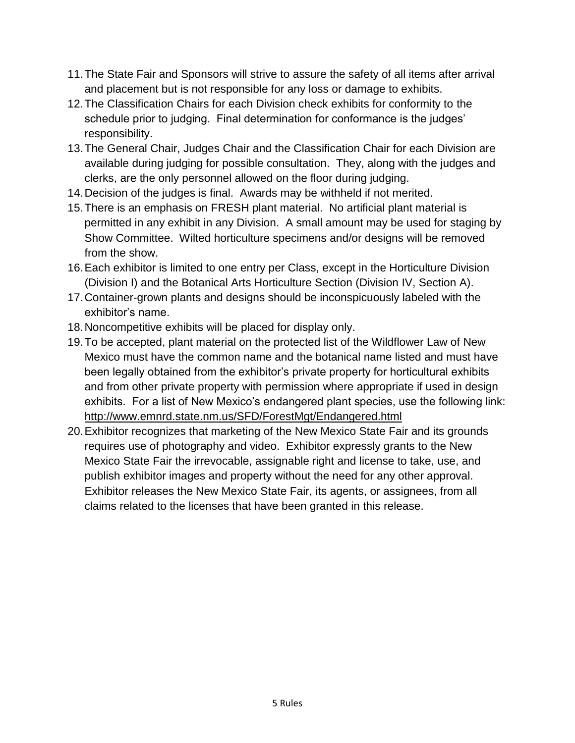- 11.The State Fair and Sponsors will strive to assure the safety of all items after arrival and placement but is not responsible for any loss or damage to exhibits.
- 12.The Classification Chairs for each Division check exhibits for conformity to the schedule prior to judging. Final determination for conformance is the judges' responsibility.
- 13.The General Chair, Judges Chair and the Classification Chair for each Division are available during judging for possible consultation. They, along with the judges and clerks, are the only personnel allowed on the floor during judging.
- 14.Decision of the judges is final. Awards may be withheld if not merited.
- 15.There is an emphasis on FRESH plant material. No artificial plant material is permitted in any exhibit in any Division. A small amount may be used for staging by Show Committee. Wilted horticulture specimens and/or designs will be removed from the show.
- 16.Each exhibitor is limited to one entry per Class, except in the Horticulture Division (Division I) and the Botanical Arts Horticulture Section (Division IV, Section A).
- 17.Container-grown plants and designs should be inconspicuously labeled with the exhibitor's name.
- 18.Noncompetitive exhibits will be placed for display only.
- 19.To be accepted, plant material on the protected list of the Wildflower Law of New Mexico must have the common name and the botanical name listed and must have been legally obtained from the exhibitor's private property for horticultural exhibits and from other private property with permission where appropriate if used in design exhibits. For a list of New Mexico's endangered plant species, use the following link: <http://www.emnrd.state.nm.us/SFD/ForestMgt/Endangered.html>
- 20.Exhibitor recognizes that marketing of the New Mexico State Fair and its grounds requires use of photography and video. Exhibitor expressly grants to the New Mexico State Fair the irrevocable, assignable right and license to take, use, and publish exhibitor images and property without the need for any other approval. Exhibitor releases the New Mexico State Fair, its agents, or assignees, from all claims related to the licenses that have been granted in this release.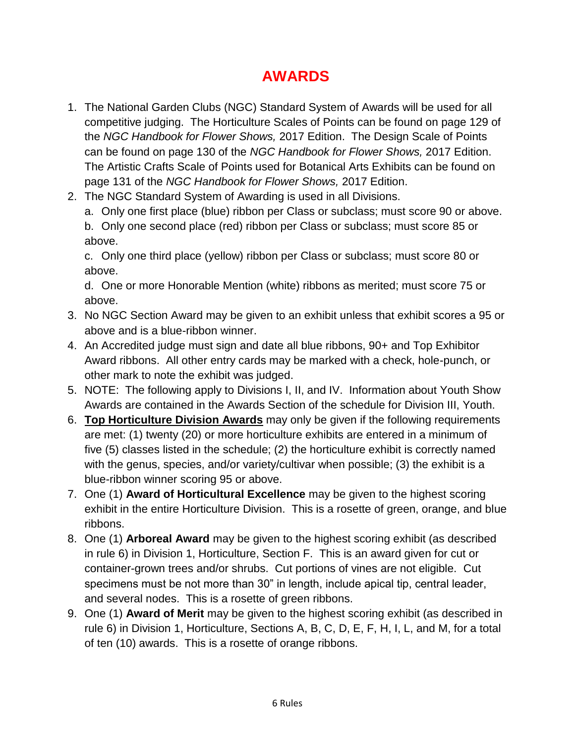# **AWARDS**

- 1. The National Garden Clubs (NGC) Standard System of Awards will be used for all competitive judging. The Horticulture Scales of Points can be found on page 129 of the *NGC Handbook for Flower Shows,* 2017 Edition. The Design Scale of Points can be found on page 130 of the *NGC Handbook for Flower Shows,* 2017 Edition. The Artistic Crafts Scale of Points used for Botanical Arts Exhibits can be found on page 131 of the *NGC Handbook for Flower Shows,* 2017 Edition.
- 2. The NGC Standard System of Awarding is used in all Divisions.

a. Only one first place (blue) ribbon per Class or subclass; must score 90 or above. b. Only one second place (red) ribbon per Class or subclass; must score 85 or above.

c. Only one third place (yellow) ribbon per Class or subclass; must score 80 or above.

d. One or more Honorable Mention (white) ribbons as merited; must score 75 or above.

- 3. No NGC Section Award may be given to an exhibit unless that exhibit scores a 95 or above and is a blue-ribbon winner.
- 4. An Accredited judge must sign and date all blue ribbons, 90+ and Top Exhibitor Award ribbons. All other entry cards may be marked with a check, hole-punch, or other mark to note the exhibit was judged.
- 5. NOTE: The following apply to Divisions I, II, and IV. Information about Youth Show Awards are contained in the Awards Section of the schedule for Division III, Youth.
- 6. **Top Horticulture Division Awards** may only be given if the following requirements are met: (1) twenty (20) or more horticulture exhibits are entered in a minimum of five (5) classes listed in the schedule; (2) the horticulture exhibit is correctly named with the genus, species, and/or variety/cultivar when possible; (3) the exhibit is a blue-ribbon winner scoring 95 or above.
- 7. One (1) **Award of Horticultural Excellence** may be given to the highest scoring exhibit in the entire Horticulture Division. This is a rosette of green, orange, and blue ribbons.
- 8. One (1) **Arboreal Award** may be given to the highest scoring exhibit (as described in rule 6) in Division 1, Horticulture, Section F. This is an award given for cut or container-grown trees and/or shrubs. Cut portions of vines are not eligible. Cut specimens must be not more than 30" in length, include apical tip, central leader, and several nodes. This is a rosette of green ribbons.
- 9. One (1) **Award of Merit** may be given to the highest scoring exhibit (as described in rule 6) in Division 1, Horticulture, Sections A, B, C, D, E, F, H, I, L, and M, for a total of ten (10) awards. This is a rosette of orange ribbons.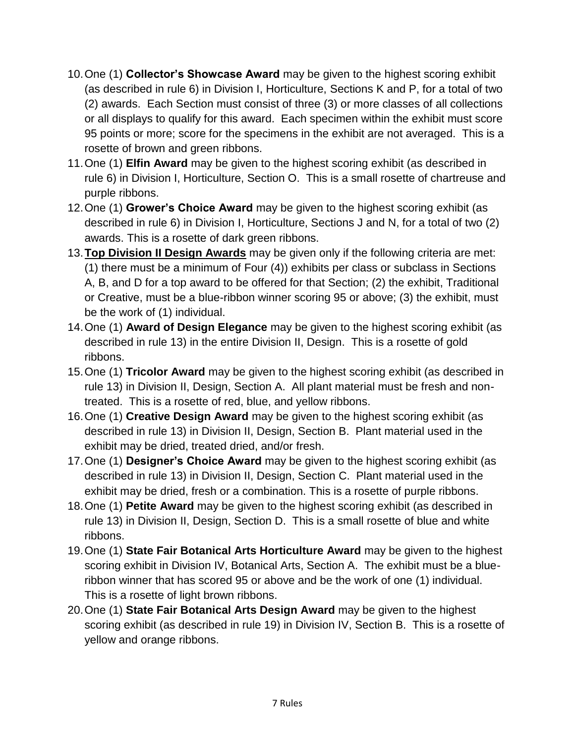- 10.One (1) **Collector's Showcase Award** may be given to the highest scoring exhibit (as described in rule 6) in Division I, Horticulture, Sections K and P, for a total of two (2) awards. Each Section must consist of three (3) or more classes of all collections or all displays to qualify for this award. Each specimen within the exhibit must score 95 points or more; score for the specimens in the exhibit are not averaged. This is a rosette of brown and green ribbons.
- 11.One (1) **Elfin Award** may be given to the highest scoring exhibit (as described in rule 6) in Division I, Horticulture, Section O. This is a small rosette of chartreuse and purple ribbons.
- 12.One (1) **Grower's Choice Award** may be given to the highest scoring exhibit (as described in rule 6) in Division I, Horticulture, Sections J and N, for a total of two (2) awards. This is a rosette of dark green ribbons.
- 13.**Top Division II Design Awards** may be given only if the following criteria are met: (1) there must be a minimum of Four (4)) exhibits per class or subclass in Sections A, B, and D for a top award to be offered for that Section; (2) the exhibit, Traditional or Creative, must be a blue-ribbon winner scoring 95 or above; (3) the exhibit, must be the work of (1) individual.
- 14.One (1) **Award of Design Elegance** may be given to the highest scoring exhibit (as described in rule 13) in the entire Division II, Design. This is a rosette of gold ribbons.
- 15.One (1) **Tricolor Award** may be given to the highest scoring exhibit (as described in rule 13) in Division II, Design, Section A. All plant material must be fresh and nontreated. This is a rosette of red, blue, and yellow ribbons.
- 16.One (1) **Creative Design Award** may be given to the highest scoring exhibit (as described in rule 13) in Division II, Design, Section B. Plant material used in the exhibit may be dried, treated dried, and/or fresh.
- 17.One (1) **Designer's Choice Award** may be given to the highest scoring exhibit (as described in rule 13) in Division II, Design, Section C. Plant material used in the exhibit may be dried, fresh or a combination. This is a rosette of purple ribbons.
- 18.One (1) **Petite Award** may be given to the highest scoring exhibit (as described in rule 13) in Division II, Design, Section D. This is a small rosette of blue and white ribbons.
- 19.One (1) **State Fair Botanical Arts Horticulture Award** may be given to the highest scoring exhibit in Division IV, Botanical Arts, Section A. The exhibit must be a blueribbon winner that has scored 95 or above and be the work of one (1) individual. This is a rosette of light brown ribbons.
- 20.One (1) **State Fair Botanical Arts Design Award** may be given to the highest scoring exhibit (as described in rule 19) in Division IV, Section B. This is a rosette of yellow and orange ribbons.